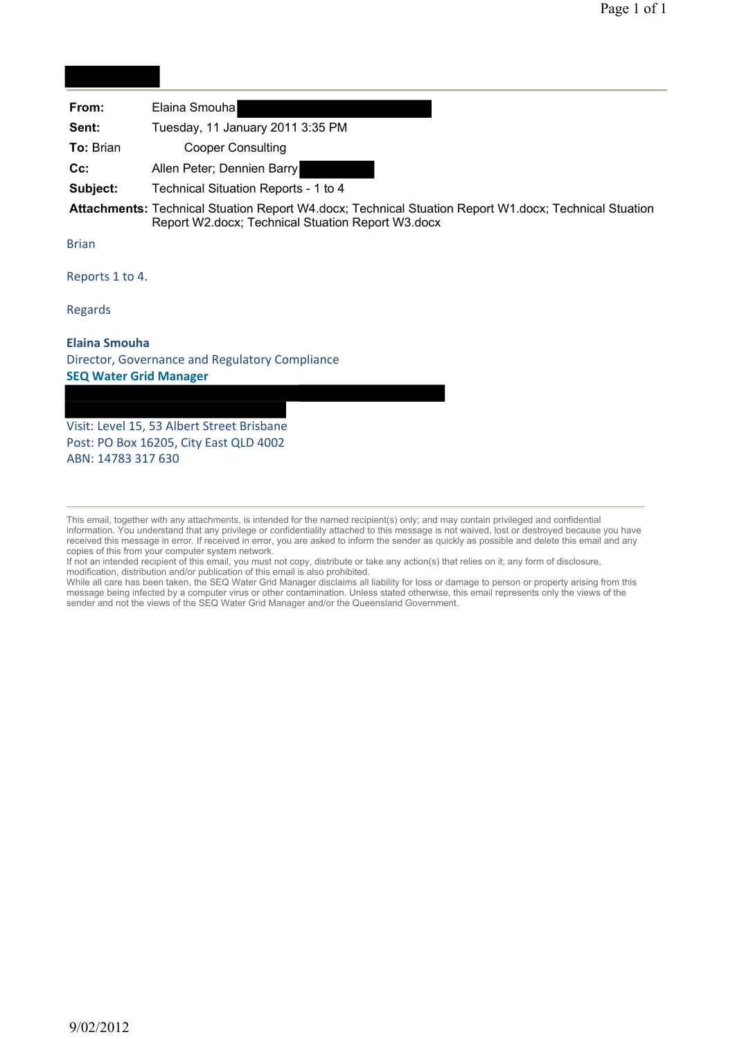| From:     | Elaina Smouha                                                                                     |
|-----------|---------------------------------------------------------------------------------------------------|
| Sent:     | Tuesday, 11 January 2011 3:35 PM                                                                  |
| To: Brian | <b>Cooper Consulting</b>                                                                          |
| $Cc$ :    | Allen Peter; Dennien Barry                                                                        |
| Subject:  | Technical Situation Reports - 1 to 4                                                              |
|           | A 44 - - Isaac sa 4 - a - Theodoro I. Alas - Isaac III - a - a - A 1 A 4 - alas - a - Theodoro II |

**Attachments:** Technical Stuation Report W4.docx; Technical Stuation Report W1.docx; Technical Stuation Report W2.docx; Technical Stuation Report W3.docx

Brian

Reports 1 to 4.

Regards

#### **Elaina Smouha** Director, Governance and Regulatory Compliance **SEQ Water Grid Manager**

Visit: Level 15, 53 Albert Street Brisbane Post: PO Box 16205, City East QLD 4002 ABN: 14783 317 630

If not an intended recipient of this email, you must not copy, distribute or take any action(s) that relies on it; any form of disclosure, modification, distribution and/or publication of this email is also prohibited.

While all care has been taken, the SEQ Water Grid Manager disclaims all liability for loss or damage to person or property arising from this message being infected by a computer virus or other contamination. Unless stated otherwise, this email represents only the views of the sender and not the views of the SEQ Water Grid Manager and/or the Queensland Government.

This email, together with any attachments, is intended for the named recipient(s) only; and may contain privileged and confidential information. You understand that any privilege or confidentiality attached to this message is not waived, lost or destroyed because you have received this message in error. If received in error, you are asked to inform the sender as quickly as possible and delete this email and any copies of this from your computer system network.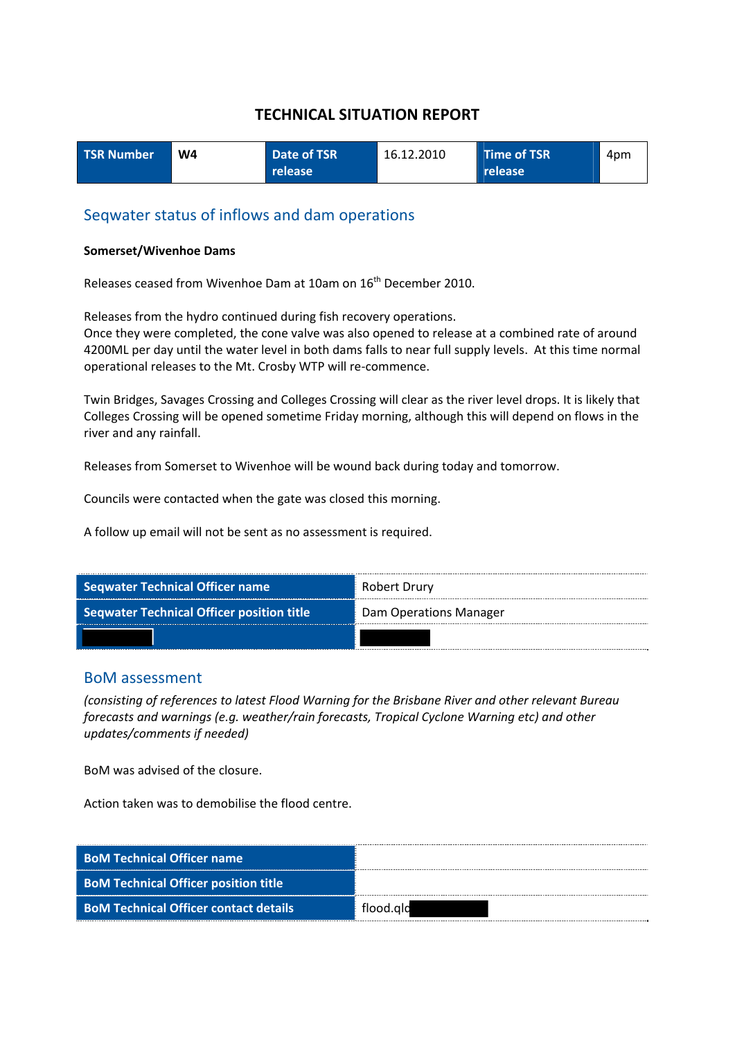| <b>TSR Number</b> | W4 | Date of TSR      | 16.12.2010 | Time of TSR | 4pm |
|-------------------|----|------------------|------------|-------------|-----|
|                   |    | release <b>'</b> |            | release     |     |

#### Seqwater status of inflows and dam operations

#### **Somerset/Wivenhoe Dams**

Releases ceased from Wivenhoe Dam at 10am on 16<sup>th</sup> December 2010.

Releases from the hydro continued during fish recovery operations.

Once they were completed, the cone valve was also opened to release at a combined rate of around 4200ML per day until the water level in both dams falls to near full supply levels. At this time normal operational releases to the Mt. Crosby WTP will re‐commence.

Twin Bridges, Savages Crossing and Colleges Crossing will clear as the river level drops. It is likely that Colleges Crossing will be opened sometime Friday morning, although this will depend on flows in the river and any rainfall.

Releases from Somerset to Wivenhoe will be wound back during today and tomorrow.

Councils were contacted when the gate was closed this morning.

A follow up email will not be sent as no assessment is required.

| <b>Seqwater Technical Officer name</b>           | * Robert Drury         |
|--------------------------------------------------|------------------------|
| <b>Seqwater Technical Officer position title</b> | Dam Operations Manager |
|                                                  |                        |

#### BoM assessment

*(consisting of references to latest Flood Warning for the Brisbane River and other relevant Bureau forecasts and warnings (e.g. weather/rain forecasts, Tropical Cyclone Warning etc) and other updates/comments if needed)*

BoM was advised of the closure.

Action taken was to demobilise the flood centre.

| <b>BoM Technical Officer name</b>            |           |
|----------------------------------------------|-----------|
| <b>BoM Technical Officer position title</b>  |           |
| <b>BoM Technical Officer contact details</b> | flood.ald |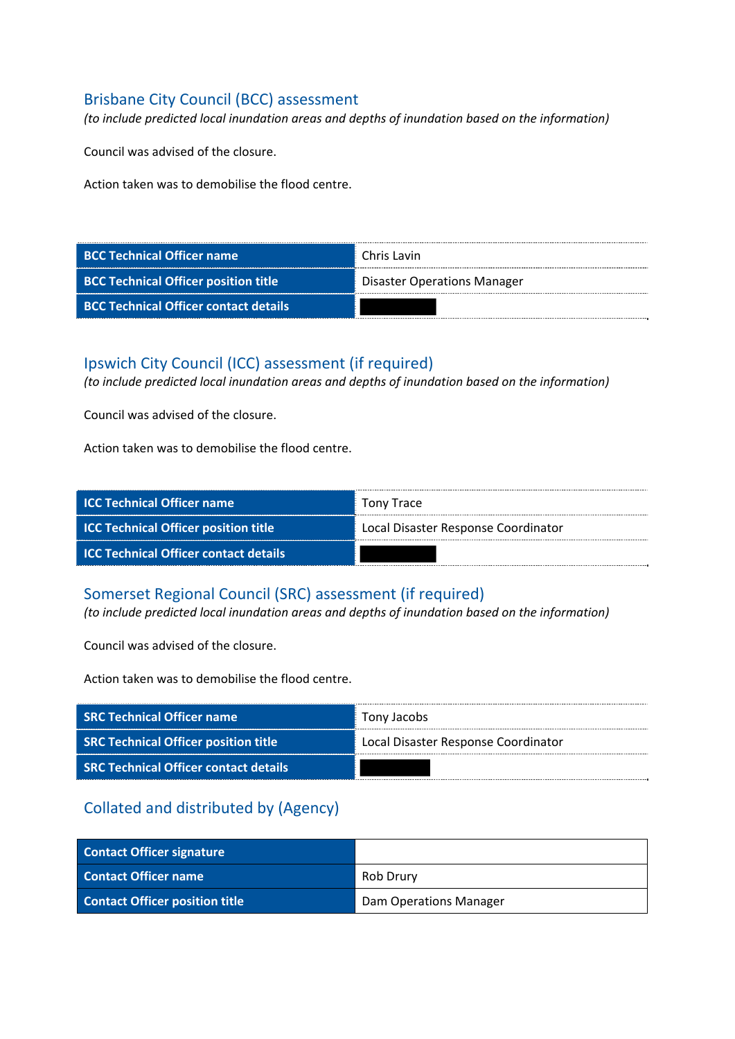# Brisbane City Council (BCC) assessment

*(to include predicted local inundation areas and depths of inundation based on the information)*

Council was advised of the closure.

Action taken was to demobilise the flood centre.

| <b>BCC Technical Officer name</b>            | Chris Lavin                        |
|----------------------------------------------|------------------------------------|
| <b>BCC Technical Officer position title</b>  | <b>Disaster Operations Manager</b> |
| <b>BCC Technical Officer contact details</b> |                                    |

## Ipswich City Council (ICC) assessment (if required)

*(to include predicted local inundation areas and depths of inundation based on the information)*

Council was advised of the closure.

Action taken was to demobilise the flood centre.

| <b>ICC Technical Officer name</b>            | Tony Trace                          |
|----------------------------------------------|-------------------------------------|
| <b>ICC Technical Officer position title</b>  | Local Disaster Response Coordinator |
| <b>ICC Technical Officer contact details</b> |                                     |

#### Somerset Regional Council (SRC) assessment (if required)

*(to include predicted local inundation areas and depths of inundation based on the information)*

Council was advised of the closure.

Action taken was to demobilise the flood centre.

| <b>SRC Technical Officer name</b>            | Tony Jacobs                         |
|----------------------------------------------|-------------------------------------|
| <b>SRC Technical Officer position title</b>  | Local Disaster Response Coordinator |
| <b>SRC Technical Officer contact details</b> |                                     |

| <b>Contact Officer signature</b>      |                               |
|---------------------------------------|-------------------------------|
| <b>Contact Officer name</b>           | Rob Drury                     |
| <b>Contact Officer position title</b> | <b>Dam Operations Manager</b> |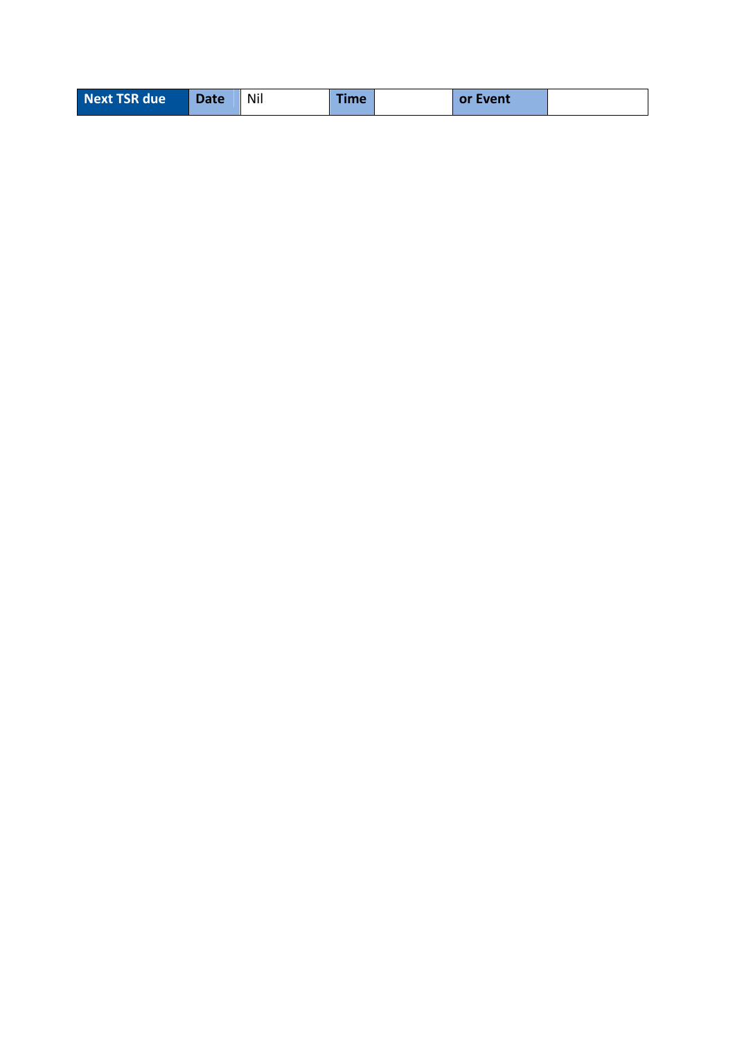| Next TSR due | <b>Date</b> | Nil | <b>Time</b> |  | or Event |  |
|--------------|-------------|-----|-------------|--|----------|--|
|--------------|-------------|-----|-------------|--|----------|--|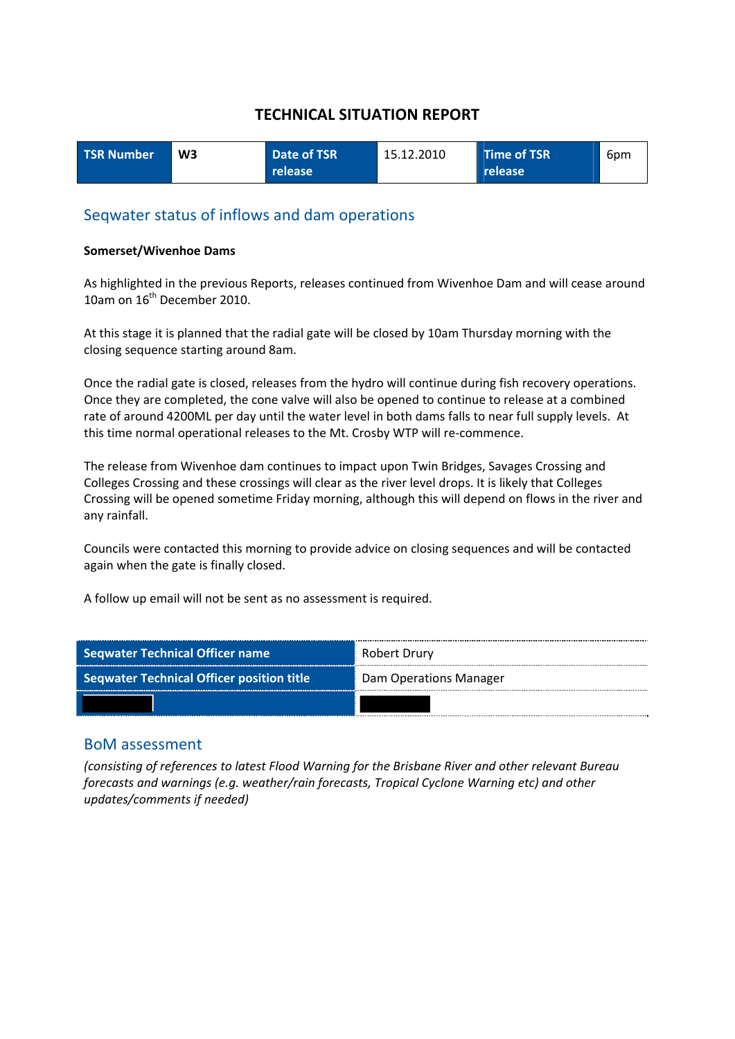| <b>TSR Number</b> | W <sub>3</sub> | Date of TSR      | 15.12.2010 | Time of TSR | 6pm |
|-------------------|----------------|------------------|------------|-------------|-----|
|                   |                | release <b>'</b> |            | release     |     |

#### Seqwater status of inflows and dam operations

#### **Somerset/Wivenhoe Dams**

As highlighted in the previous Reports, releases continued from Wivenhoe Dam and will cease around 10am on 16<sup>th</sup> December 2010.

At this stage it is planned that the radial gate will be closed by 10am Thursday morning with the closing sequence starting around 8am.

Once the radial gate is closed, releases from the hydro will continue during fish recovery operations. Once they are completed, the cone valve will also be opened to continue to release at a combined rate of around 4200ML per day until the water level in both dams falls to near full supply levels. At this time normal operational releases to the Mt. Crosby WTP will re‐commence.

The release from Wivenhoe dam continues to impact upon Twin Bridges, Savages Crossing and Colleges Crossing and these crossings will clear as the river level drops. It is likely that Colleges Crossing will be opened sometime Friday morning, although this will depend on flows in the river and any rainfall.

Councils were contacted this morning to provide advice on closing sequences and will be contacted again when the gate is finally closed.

A follow up email will not be sent as no assessment is required.

| <b>Seqwater Technical Officer name</b>           | Robert Drury           |
|--------------------------------------------------|------------------------|
| <b>Seqwater Technical Officer position title</b> | Dam Operations Manager |
|                                                  |                        |

#### BoM assessment

*(consisting of references to latest Flood Warning for the Brisbane River and other relevant Bureau forecasts and warnings (e.g. weather/rain forecasts, Tropical Cyclone Warning etc) and other updates/comments if needed)*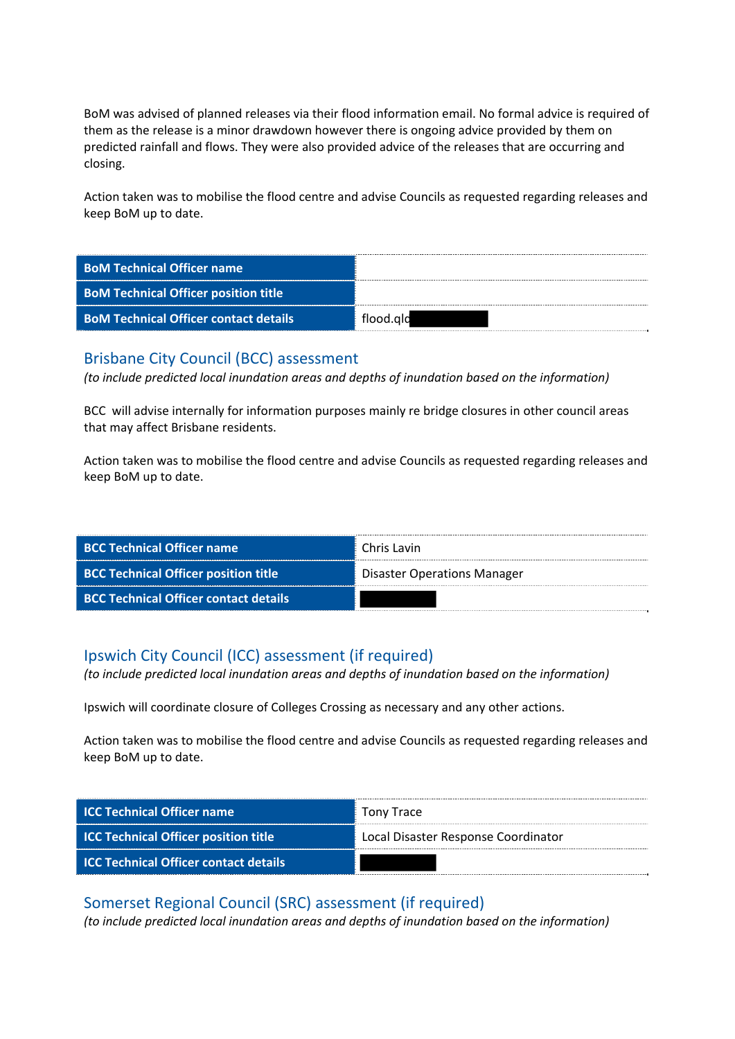BoM was advised of planned releases via their flood information email. No formal advice is required of them as the release is a minor drawdown however there is ongoing advice provided by them on predicted rainfall and flows. They were also provided advice of the releases that are occurring and closing.

Action taken was to mobilise the flood centre and advise Councils as requested regarding releases and keep BoM up to date.

| <b>BoM Technical Officer name</b>            |           |
|----------------------------------------------|-----------|
| <b>BoM Technical Officer position title</b>  |           |
| <b>BoM Technical Officer contact details</b> | flood.ald |

## Brisbane City Council (BCC) assessment

*(to include predicted local inundation areas and depths of inundation based on the information)*

BCC will advise internally for information purposes mainly re bridge closures in other council areas that may affect Brisbane residents.

Action taken was to mobilise the flood centre and advise Councils as requested regarding releases and keep BoM up to date.

| <b>BCC Technical Officer name</b>            | Chris Lavin                        |
|----------------------------------------------|------------------------------------|
| <b>BCC Technical Officer position title</b>  | <b>Disaster Operations Manager</b> |
| <b>BCC Technical Officer contact details</b> |                                    |

## Ipswich City Council (ICC) assessment (if required)

*(to include predicted local inundation areas and depths of inundation based on the information)*

Ipswich will coordinate closure of Colleges Crossing as necessary and any other actions.

Action taken was to mobilise the flood centre and advise Councils as requested regarding releases and keep BoM up to date.

| <b>ICC Technical Officer name</b>            | Tony Trace                          |
|----------------------------------------------|-------------------------------------|
| <b>ICC Technical Officer position title</b>  | Local Disaster Response Coordinator |
| <b>ICC Technical Officer contact details</b> |                                     |

## Somerset Regional Council (SRC) assessment (if required)

*(to include predicted local inundation areas and depths of inundation based on the information)*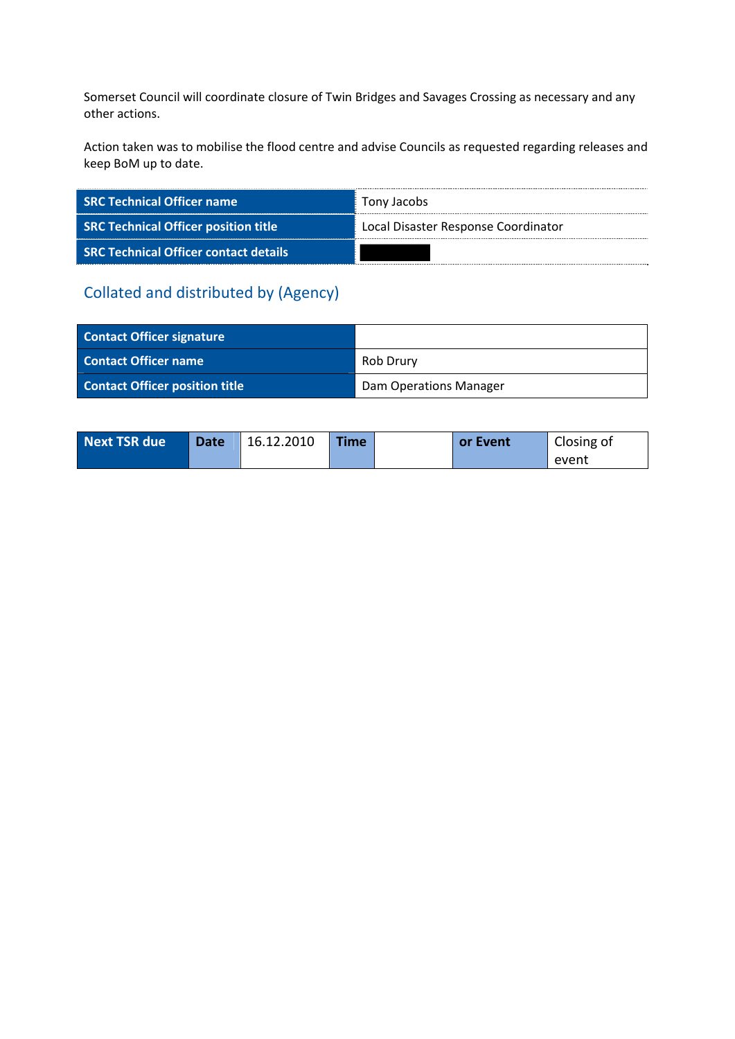Somerset Council will coordinate closure of Twin Bridges and Savages Crossing as necessary and any other actions.

Action taken was to mobilise the flood centre and advise Councils as requested regarding releases and keep BoM up to date.

| <b>SRC Technical Officer name</b>            | Tony Jacobs                         |
|----------------------------------------------|-------------------------------------|
| <b>SRC Technical Officer position title</b>  | Local Disaster Response Coordinator |
| <b>SRC Technical Officer contact details</b> |                                     |

| <b>Contact Officer signature</b>      |                               |
|---------------------------------------|-------------------------------|
| <b>Contact Officer name</b>           | Rob Drury                     |
| <b>Contact Officer position title</b> | <b>Dam Operations Manager</b> |

| Next TSR due | <b>Date</b> | 16.12.2010 | <b>Time</b> | or Event | Closing of |
|--------------|-------------|------------|-------------|----------|------------|
|              |             |            |             |          | event      |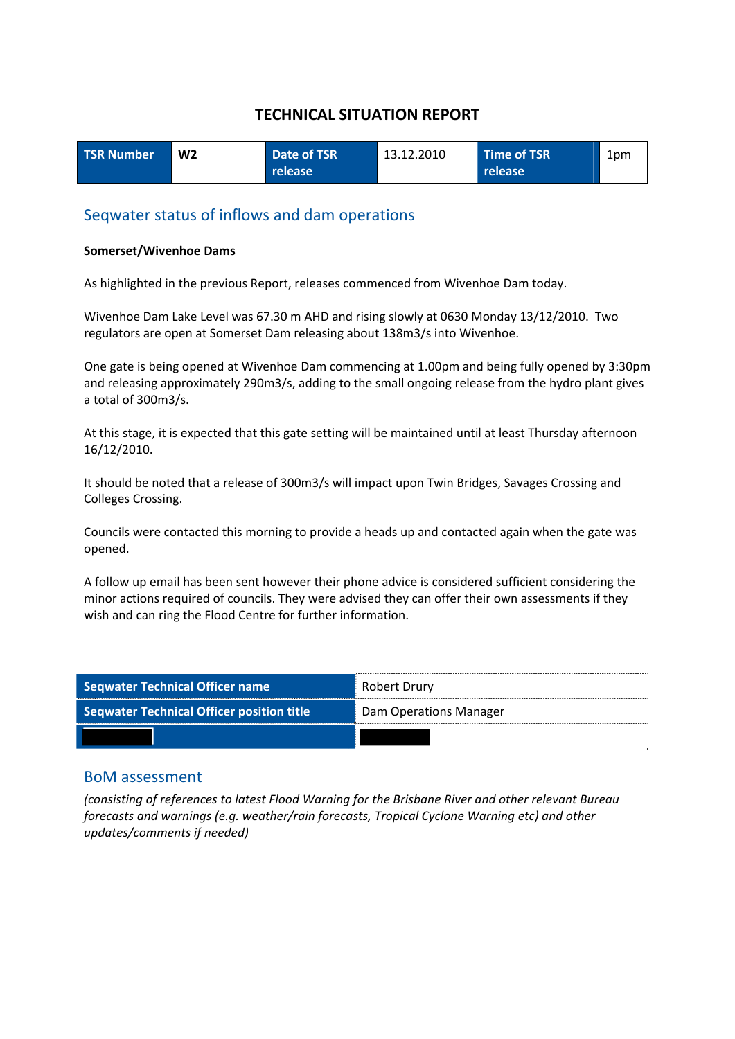| <b>TSR Number</b> | W <sub>2</sub> | Date of TSR | 13.12.2010 | Time of TSR | 1pm |
|-------------------|----------------|-------------|------------|-------------|-----|
|                   |                | release     |            | release     |     |

#### Seqwater status of inflows and dam operations

#### **Somerset/Wivenhoe Dams**

As highlighted in the previous Report, releases commenced from Wivenhoe Dam today.

Wivenhoe Dam Lake Level was 67.30 m AHD and rising slowly at 0630 Monday 13/12/2010. Two regulators are open at Somerset Dam releasing about 138m3/s into Wivenhoe.

One gate is being opened at Wivenhoe Dam commencing at 1.00pm and being fully opened by 3:30pm and releasing approximately 290m3/s, adding to the small ongoing release from the hydro plant gives a total of 300m3/s.

At this stage, it is expected that this gate setting will be maintained until at least Thursday afternoon 16/12/2010.

It should be noted that a release of 300m3/s will impact upon Twin Bridges, Savages Crossing and Colleges Crossing.

Councils were contacted this morning to provide a heads up and contacted again when the gate was opened.

A follow up email has been sent however their phone advice is considered sufficient considering the minor actions required of councils. They were advised they can offer their own assessments if they wish and can ring the Flood Centre for further information.

| <b>Seqwater Technical Officer name</b>    | Robert Drury           |
|-------------------------------------------|------------------------|
| Seqwater Technical Officer position title | Dam Operations Manager |
|                                           |                        |

#### BoM assessment

*(consisting of references to latest Flood Warning for the Brisbane River and other relevant Bureau forecasts and warnings (e.g. weather/rain forecasts, Tropical Cyclone Warning etc) and other updates/comments if needed)*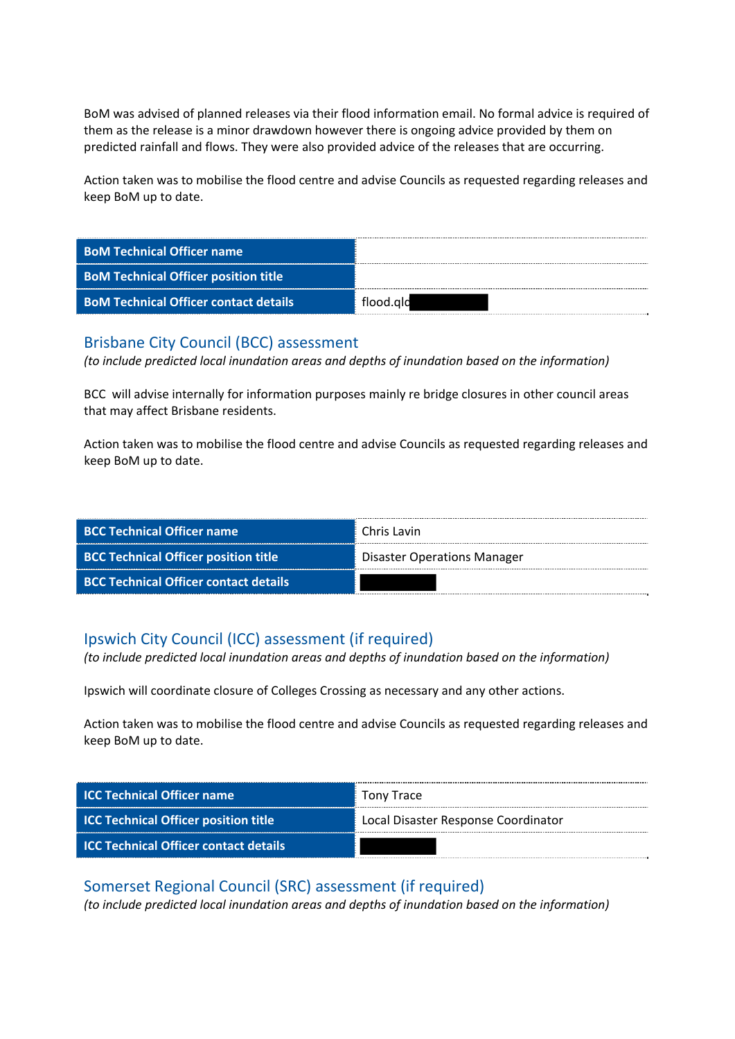BoM was advised of planned releases via their flood information email. No formal advice is required of them as the release is a minor drawdown however there is ongoing advice provided by them on predicted rainfall and flows. They were also provided advice of the releases that are occurring.

Action taken was to mobilise the flood centre and advise Councils as requested regarding releases and keep BoM up to date.

| <b>BoM Technical Officer name</b>            |           |
|----------------------------------------------|-----------|
| <b>BoM Technical Officer position title</b>  |           |
| <b>BoM Technical Officer contact details</b> | flood.ald |

#### Brisbane City Council (BCC) assessment

*(to include predicted local inundation areas and depths of inundation based on the information)*

BCC will advise internally for information purposes mainly re bridge closures in other council areas that may affect Brisbane residents.

Action taken was to mobilise the flood centre and advise Councils as requested regarding releases and keep BoM up to date.

| <b>BCC Technical Officer name</b>            | Chris Lavin                 |
|----------------------------------------------|-----------------------------|
| <b>BCC Technical Officer position title</b>  | Disaster Operations Manager |
| <b>BCC Technical Officer contact details</b> |                             |

# Ipswich City Council (ICC) assessment (if required)

*(to include predicted local inundation areas and depths of inundation based on the information)*

Ipswich will coordinate closure of Colleges Crossing as necessary and any other actions.

Action taken was to mobilise the flood centre and advise Councils as requested regarding releases and keep BoM up to date.

| <b>ICC Technical Officer name</b>            | Tony Trace                          |
|----------------------------------------------|-------------------------------------|
| <b>ICC Technical Officer position title</b>  | Local Disaster Response Coordinator |
| <b>ICC Technical Officer contact details</b> |                                     |

Somerset Regional Council (SRC) assessment (if required) *(to include predicted local inundation areas and depths of inundation based on the information)*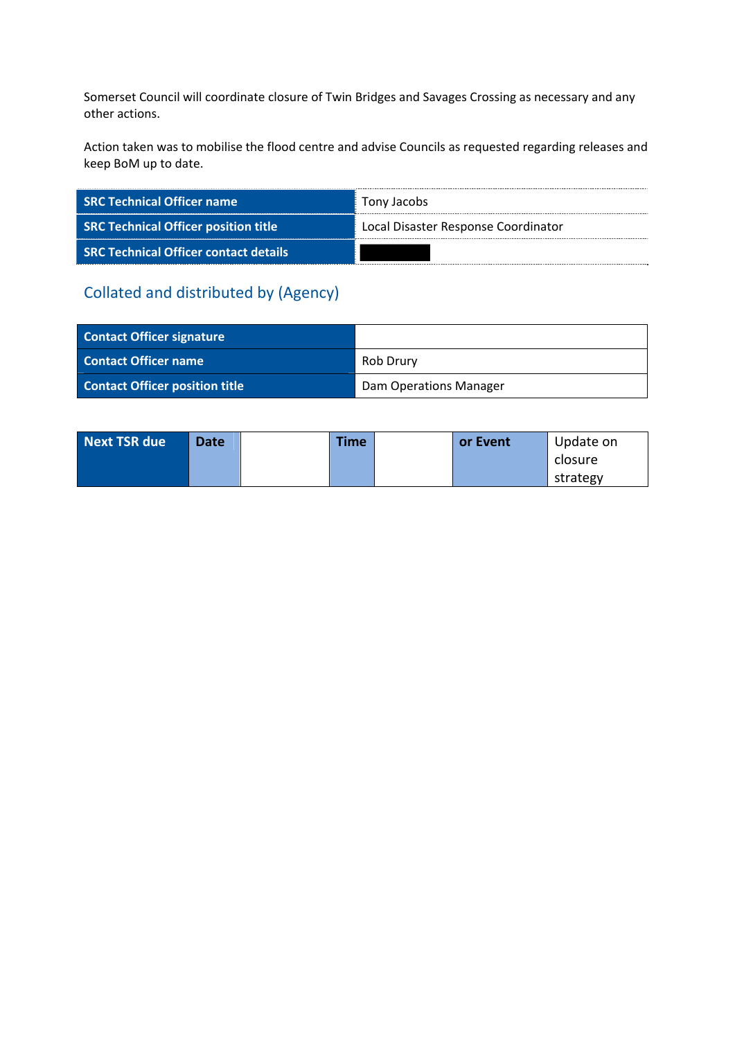Somerset Council will coordinate closure of Twin Bridges and Savages Crossing as necessary and any other actions.

Action taken was to mobilise the flood centre and advise Councils as requested regarding releases and keep BoM up to date.

| <b>SRC Technical Officer name</b>            | Tony Jacobs                         |
|----------------------------------------------|-------------------------------------|
| <b>SRC Technical Officer position title</b>  | Local Disaster Response Coordinator |
| <b>SRC Technical Officer contact details</b> |                                     |

| <b>Contact Officer signature</b>      |                               |
|---------------------------------------|-------------------------------|
| <b>Contact Officer name</b>           | Rob Drury                     |
| <b>Contact Officer position title</b> | <b>Dam Operations Manager</b> |

| <b>Next TSR due</b> | <b>Date</b> | Time | or Event | Update on |
|---------------------|-------------|------|----------|-----------|
|                     |             |      |          | closure   |
|                     |             |      |          | strategy  |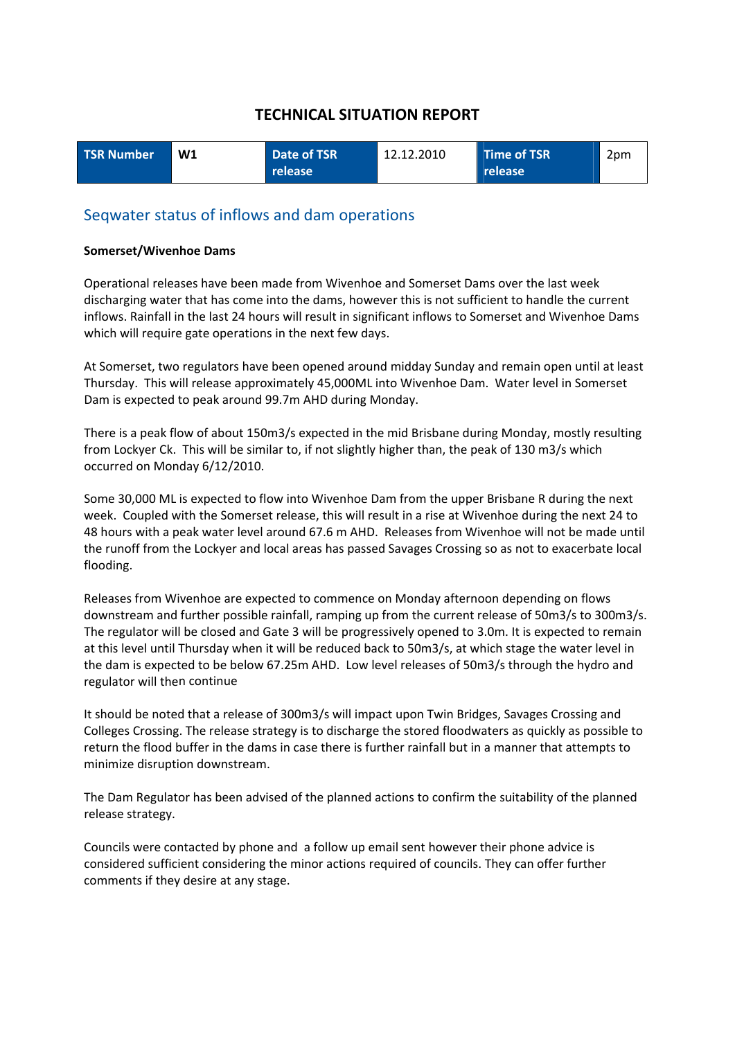| <b>TSR Number</b> | W1 | Date of TSR | 12.12.2010 | Time of TSR | 2pm |
|-------------------|----|-------------|------------|-------------|-----|
|                   |    | release l   |            | release     |     |

#### Seqwater status of inflows and dam operations

#### **Somerset/Wivenhoe Dams**

Operational releases have been made from Wivenhoe and Somerset Dams over the last week discharging water that has come into the dams, however this is not sufficient to handle the current inflows. Rainfall in the last 24 hours will result in significant inflows to Somerset and Wivenhoe Dams which will require gate operations in the next few days.

At Somerset, two regulators have been opened around midday Sunday and remain open until at least Thursday. This will release approximately 45,000ML into Wivenhoe Dam. Water level in Somerset Dam is expected to peak around 99.7m AHD during Monday.

There is a peak flow of about 150m3/s expected in the mid Brisbane during Monday, mostly resulting from Lockyer Ck. This will be similar to, if not slightly higher than, the peak of 130 m3/s which occurred on Monday 6/12/2010.

Some 30,000 ML is expected to flow into Wivenhoe Dam from the upper Brisbane R during the next week. Coupled with the Somerset release, this will result in a rise at Wivenhoe during the next 24 to 48 hours with a peak water level around 67.6 m AHD. Releases from Wivenhoe will not be made until the runoff from the Lockyer and local areas has passed Savages Crossing so as not to exacerbate local flooding.

Releases from Wivenhoe are expected to commence on Monday afternoon depending on flows downstream and further possible rainfall, ramping up from the current release of 50m3/s to 300m3/s. The regulator will be closed and Gate 3 will be progressively opened to 3.0m. It is expected to remain at this level until Thursday when it will be reduced back to 50m3/s, at which stage the water level in the dam is expected to be below 67.25m AHD. Low level releases of 50m3/s through the hydro and regulator will then continue

It should be noted that a release of 300m3/s will impact upon Twin Bridges, Savages Crossing and Colleges Crossing. The release strategy is to discharge the stored floodwaters as quickly as possible to return the flood buffer in the dams in case there is further rainfall but in a manner that attempts to minimize disruption downstream.

The Dam Regulator has been advised of the planned actions to confirm the suitability of the planned release strategy.

Councils were contacted by phone and a follow up email sent however their phone advice is considered sufficient considering the minor actions required of councils. They can offer further comments if they desire at any stage.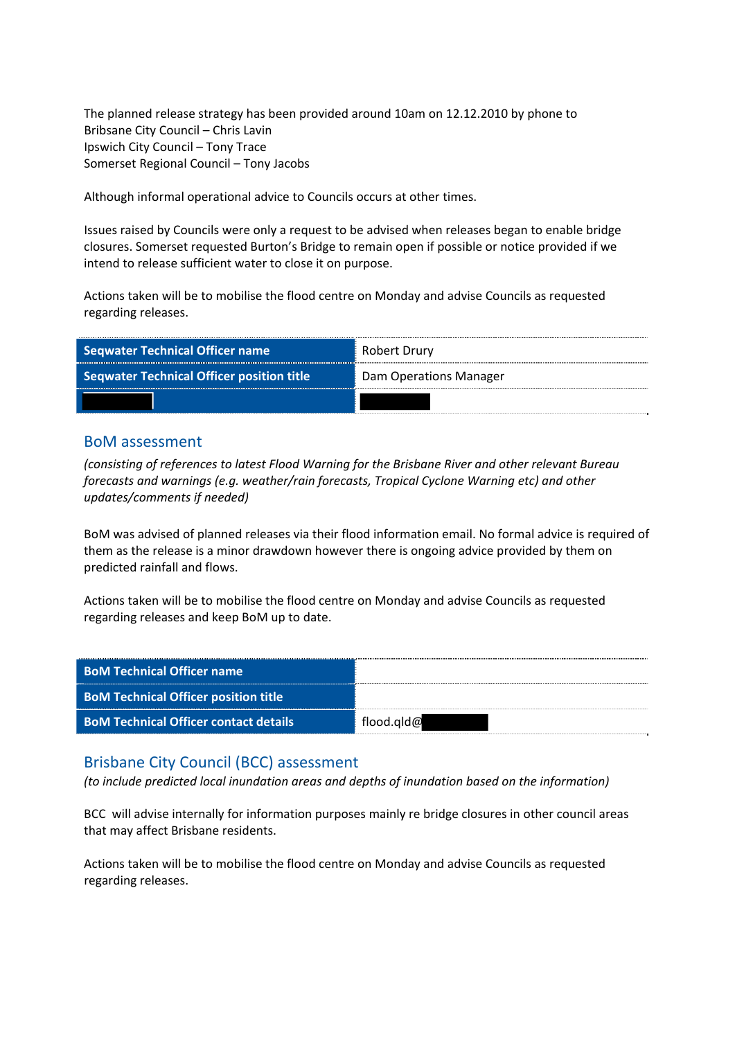The planned release strategy has been provided around 10am on 12.12.2010 by phone to Bribsane City Council – Chris Lavin Ipswich City Council – Tony Trace Somerset Regional Council – Tony Jacobs

Although informal operational advice to Councils occurs at other times.

Issues raised by Councils were only a request to be advised when releases began to enable bridge closures. Somerset requested Burton's Bridge to remain open if possible or notice provided if we intend to release sufficient water to close it on purpose.

Actions taken will be to mobilise the flood centre on Monday and advise Councils as requested regarding releases.

| <b>Seqwater Technical Officer name</b>           | <sup>®</sup> Robert Drury |  |
|--------------------------------------------------|---------------------------|--|
| <b>Seqwater Technical Officer position title</b> | Dam Operations Manager    |  |
|                                                  |                           |  |

#### BoM assessment

*(consisting of references to latest Flood Warning for the Brisbane River and other relevant Bureau forecasts and warnings (e.g. weather/rain forecasts, Tropical Cyclone Warning etc) and other updates/comments if needed)*

BoM was advised of planned releases via their flood information email. No formal advice is required of them as the release is a minor drawdown however there is ongoing advice provided by them on predicted rainfall and flows.

Actions taken will be to mobilise the flood centre on Monday and advise Councils as requested regarding releases and keep BoM up to date.

| <b>BoM Technical Officer name</b>            |            |
|----------------------------------------------|------------|
| <b>BoM Technical Officer position title</b>  |            |
| <b>BoM Technical Officer contact details</b> | flood.gld@ |

#### Brisbane City Council (BCC) assessment

*(to include predicted local inundation areas and depths of inundation based on the information)*

BCC will advise internally for information purposes mainly re bridge closures in other council areas that may affect Brisbane residents.

Actions taken will be to mobilise the flood centre on Monday and advise Councils as requested regarding releases.